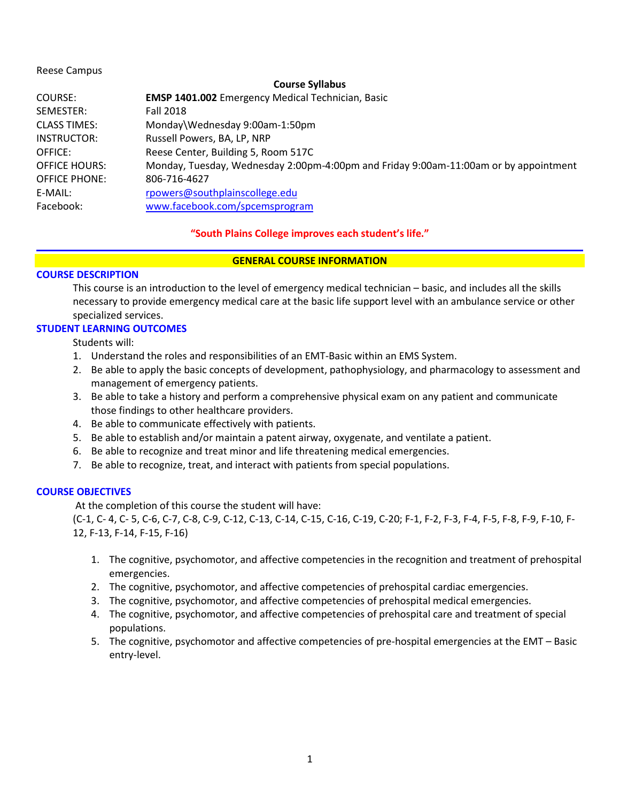## Reese Campus

## **Course Syllabus**

| COURSE:              | <b>EMSP 1401.002</b> Emergency Medical Technician, Basic                             |  |  |
|----------------------|--------------------------------------------------------------------------------------|--|--|
| SEMESTER:            | <b>Fall 2018</b>                                                                     |  |  |
| <b>CLASS TIMES:</b>  | Monday\Wednesday 9:00am-1:50pm                                                       |  |  |
| INSTRUCTOR:          | Russell Powers, BA, LP, NRP                                                          |  |  |
| OFFICE:              | Reese Center, Building 5, Room 517C                                                  |  |  |
| <b>OFFICE HOURS:</b> | Monday, Tuesday, Wednesday 2:00pm-4:00pm and Friday 9:00am-11:00am or by appointment |  |  |
| <b>OFFICE PHONE:</b> | 806-716-4627                                                                         |  |  |
| E-MAIL:              | rpowers@southplainscollege.edu                                                       |  |  |
| Facebook:            | www.facebook.com/spcemsprogram                                                       |  |  |
|                      |                                                                                      |  |  |

# **"South Plains College improves each student's life."**

# **GENERAL COURSE INFORMATION**

# **COURSE DESCRIPTION**

This course is an introduction to the level of emergency medical technician – basic, and includes all the skills necessary to provide emergency medical care at the basic life support level with an ambulance service or other specialized services.

# **STUDENT LEARNING OUTCOMES**

Students will:

- 1. Understand the roles and responsibilities of an EMT-Basic within an EMS System.
- 2. Be able to apply the basic concepts of development, pathophysiology, and pharmacology to assessment and management of emergency patients.
- 3. Be able to take a history and perform a comprehensive physical exam on any patient and communicate those findings to other healthcare providers.
- 4. Be able to communicate effectively with patients.
- 5. Be able to establish and/or maintain a patent airway, oxygenate, and ventilate a patient.
- 6. Be able to recognize and treat minor and life threatening medical emergencies.
- 7. Be able to recognize, treat, and interact with patients from special populations.

# **COURSE OBJECTIVES**

At the completion of this course the student will have:

(C-1, C- 4, C- 5, C-6, C-7, C-8, C-9, C-12, C-13, C-14, C-15, C-16, C-19, C-20; F-1, F-2, F-3, F-4, F-5, F-8, F-9, F-10, F-12, F-13, F-14, F-15, F-16)

- 1. The cognitive, psychomotor, and affective competencies in the recognition and treatment of prehospital emergencies.
- 2. The cognitive, psychomotor, and affective competencies of prehospital cardiac emergencies.
- 3. The cognitive, psychomotor, and affective competencies of prehospital medical emergencies.
- 4. The cognitive, psychomotor, and affective competencies of prehospital care and treatment of special populations.
- 5. The cognitive, psychomotor and affective competencies of pre-hospital emergencies at the EMT Basic entry-level.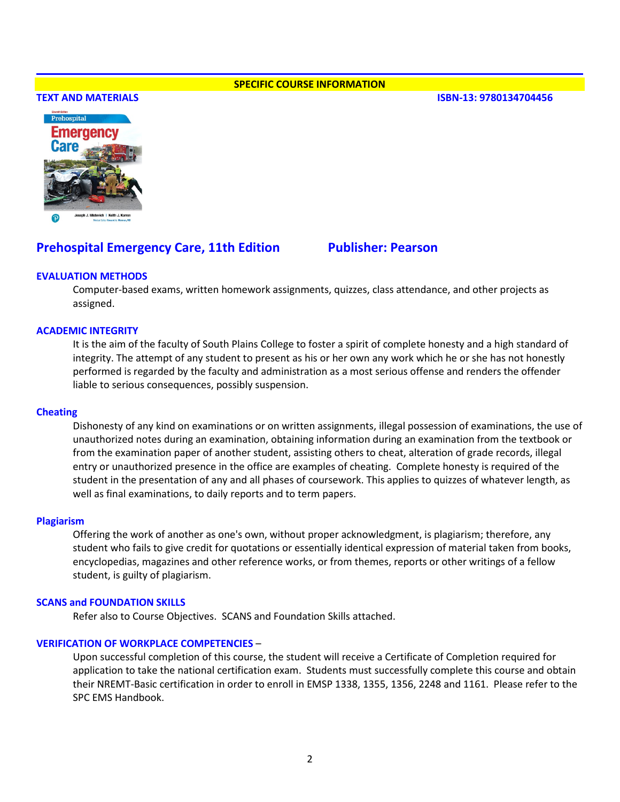#### **SPECIFIC COURSE INFORMATION**

#### **TEXT AND MATERIALS ISBN-13: 9780134704456**



# **Prehospital Emergency Care, 11th Edition Fublisher: Pearson**

## **EVALUATION METHODS**

Computer-based exams, written homework assignments, quizzes, class attendance, and other projects as assigned.

# **ACADEMIC INTEGRITY**

It is the aim of the faculty of South Plains College to foster a spirit of complete honesty and a high standard of integrity. The attempt of any student to present as his or her own any work which he or she has not honestly performed is regarded by the faculty and administration as a most serious offense and renders the offender liable to serious consequences, possibly suspension.

#### **Cheating**

Dishonesty of any kind on examinations or on written assignments, illegal possession of examinations, the use of unauthorized notes during an examination, obtaining information during an examination from the textbook or from the examination paper of another student, assisting others to cheat, alteration of grade records, illegal entry or unauthorized presence in the office are examples of cheating. Complete honesty is required of the student in the presentation of any and all phases of coursework. This applies to quizzes of whatever length, as well as final examinations, to daily reports and to term papers.

#### **Plagiarism**

Offering the work of another as one's own, without proper acknowledgment, is plagiarism; therefore, any student who fails to give credit for quotations or essentially identical expression of material taken from books, encyclopedias, magazines and other reference works, or from themes, reports or other writings of a fellow student, is guilty of plagiarism.

#### **SCANS and FOUNDATION SKILLS**

Refer also to Course Objectives. SCANS and Foundation Skills attached.

#### **VERIFICATION OF WORKPLACE COMPETENCIES** –

Upon successful completion of this course, the student will receive a Certificate of Completion required for application to take the national certification exam. Students must successfully complete this course and obtain their NREMT-Basic certification in order to enroll in EMSP 1338, 1355, 1356, 2248 and 1161. Please refer to the SPC EMS Handbook.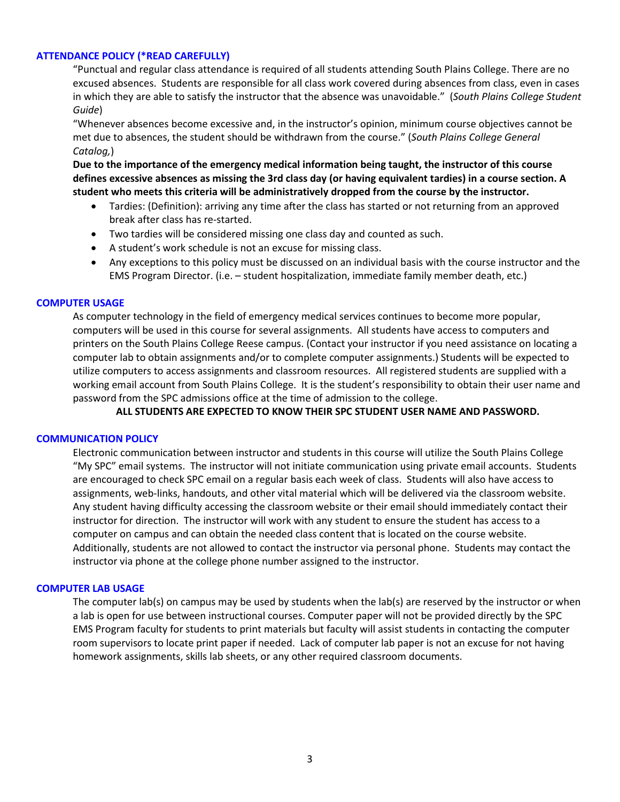# **ATTENDANCE POLICY (\*READ CAREFULLY)**

"Punctual and regular class attendance is required of all students attending South Plains College. There are no excused absences. Students are responsible for all class work covered during absences from class, even in cases in which they are able to satisfy the instructor that the absence was unavoidable." (*South Plains College Student Guide*)

"Whenever absences become excessive and, in the instructor's opinion, minimum course objectives cannot be met due to absences, the student should be withdrawn from the course." (*South Plains College General Catalog,*)

**Due to the importance of the emergency medical information being taught, the instructor of this course defines excessive absences as missing the 3rd class day (or having equivalent tardies) in a course section. A student who meets this criteria will be administratively dropped from the course by the instructor.** 

- Tardies: (Definition): arriving any time after the class has started or not returning from an approved break after class has re-started.
- Two tardies will be considered missing one class day and counted as such.
- A student's work schedule is not an excuse for missing class.
- Any exceptions to this policy must be discussed on an individual basis with the course instructor and the EMS Program Director. (i.e. – student hospitalization, immediate family member death, etc.)

## **COMPUTER USAGE**

As computer technology in the field of emergency medical services continues to become more popular, computers will be used in this course for several assignments. All students have access to computers and printers on the South Plains College Reese campus. (Contact your instructor if you need assistance on locating a computer lab to obtain assignments and/or to complete computer assignments.) Students will be expected to utilize computers to access assignments and classroom resources. All registered students are supplied with a working email account from South Plains College. It is the student's responsibility to obtain their user name and password from the SPC admissions office at the time of admission to the college.

**ALL STUDENTS ARE EXPECTED TO KNOW THEIR SPC STUDENT USER NAME AND PASSWORD.**

## **COMMUNICATION POLICY**

Electronic communication between instructor and students in this course will utilize the South Plains College "My SPC" email systems. The instructor will not initiate communication using private email accounts. Students are encouraged to check SPC email on a regular basis each week of class. Students will also have access to assignments, web-links, handouts, and other vital material which will be delivered via the classroom website. Any student having difficulty accessing the classroom website or their email should immediately contact their instructor for direction. The instructor will work with any student to ensure the student has access to a computer on campus and can obtain the needed class content that is located on the course website. Additionally, students are not allowed to contact the instructor via personal phone. Students may contact the instructor via phone at the college phone number assigned to the instructor.

#### **COMPUTER LAB USAGE**

The computer lab(s) on campus may be used by students when the lab(s) are reserved by the instructor or when a lab is open for use between instructional courses. Computer paper will not be provided directly by the SPC EMS Program faculty for students to print materials but faculty will assist students in contacting the computer room supervisors to locate print paper if needed. Lack of computer lab paper is not an excuse for not having homework assignments, skills lab sheets, or any other required classroom documents.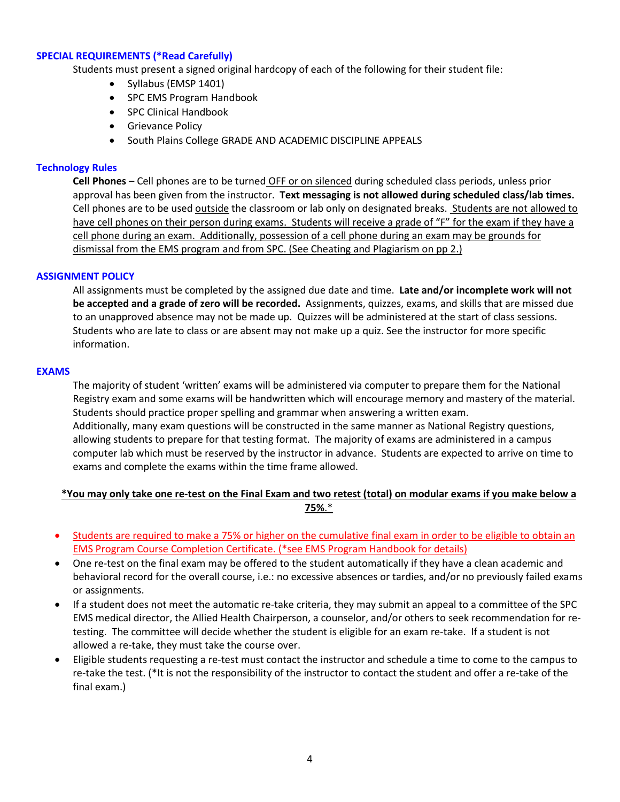# **SPECIAL REQUIREMENTS (\*Read Carefully)**

Students must present a signed original hardcopy of each of the following for their student file:

- Syllabus (EMSP 1401)
- SPC EMS Program Handbook
- SPC Clinical Handbook
- Grievance Policy
- South Plains College GRADE AND ACADEMIC DISCIPLINE APPEALS

# **Technology Rules**

**Cell Phones** – Cell phones are to be turned OFF or on silenced during scheduled class periods, unless prior approval has been given from the instructor. **Text messaging is not allowed during scheduled class/lab times.** Cell phones are to be used outside the classroom or lab only on designated breaks. Students are not allowed to have cell phones on their person during exams. Students will receive a grade of "F" for the exam if they have a cell phone during an exam. Additionally, possession of a cell phone during an exam may be grounds for dismissal from the EMS program and from SPC. (See Cheating and Plagiarism on pp 2.)

# **ASSIGNMENT POLICY**

All assignments must be completed by the assigned due date and time. **Late and/or incomplete work will not be accepted and a grade of zero will be recorded.** Assignments, quizzes, exams, and skills that are missed due to an unapproved absence may not be made up. Quizzes will be administered at the start of class sessions. Students who are late to class or are absent may not make up a quiz. See the instructor for more specific information.

# **EXAMS**

The majority of student 'written' exams will be administered via computer to prepare them for the National Registry exam and some exams will be handwritten which will encourage memory and mastery of the material. Students should practice proper spelling and grammar when answering a written exam. Additionally, many exam questions will be constructed in the same manner as National Registry questions, allowing students to prepare for that testing format. The majority of exams are administered in a campus computer lab which must be reserved by the instructor in advance. Students are expected to arrive on time to exams and complete the exams within the time frame allowed.

# **\*You may only take one re-test on the Final Exam and two retest (total) on modular exams if you make below a 75%**.\*

- Students are required to make a 75% or higher on the cumulative final exam in order to be eligible to obtain an EMS Program Course Completion Certificate. (\*see EMS Program Handbook for details)
- One re-test on the final exam may be offered to the student automatically if they have a clean academic and behavioral record for the overall course, i.e.: no excessive absences or tardies, and/or no previously failed exams or assignments.
- If a student does not meet the automatic re-take criteria, they may submit an appeal to a committee of the SPC EMS medical director, the Allied Health Chairperson, a counselor, and/or others to seek recommendation for retesting. The committee will decide whether the student is eligible for an exam re-take. If a student is not allowed a re-take, they must take the course over.
- Eligible students requesting a re-test must contact the instructor and schedule a time to come to the campus to re-take the test. (\*It is not the responsibility of the instructor to contact the student and offer a re-take of the final exam.)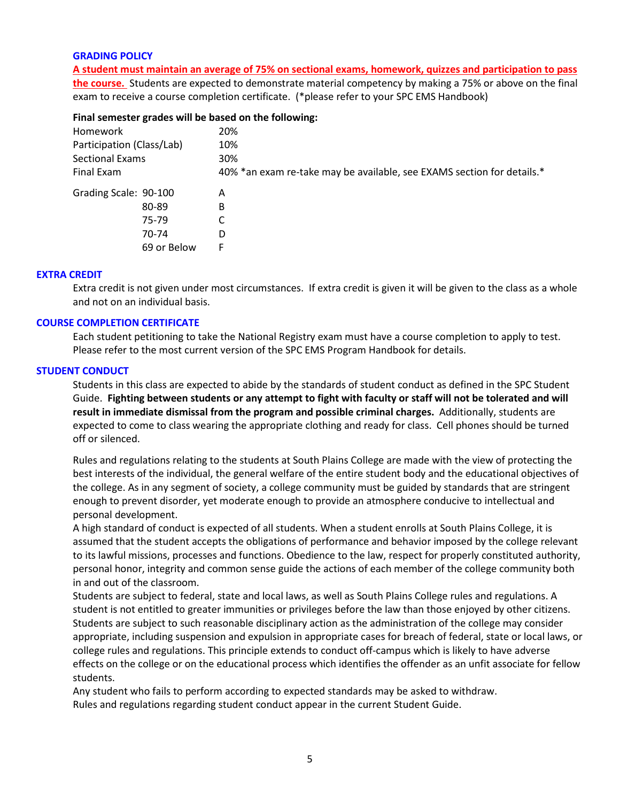## **GRADING POLICY**

**A student must maintain an average of 75% on sectional exams, homework, quizzes and participation to pass the course.** Students are expected to demonstrate material competency by making a 75% or above on the final exam to receive a course completion certificate. (\*please refer to your SPC EMS Handbook)

#### **Final semester grades will be based on the following:**

| Homework                  |             | 20%                                                                    |
|---------------------------|-------------|------------------------------------------------------------------------|
| Participation (Class/Lab) |             | 10%                                                                    |
| <b>Sectional Exams</b>    |             | 30%                                                                    |
| Final Exam                |             | 40% *an exam re-take may be available, see EXAMS section for details.* |
| Grading Scale: 90-100     |             | Α                                                                      |
|                           | 80-89       | В                                                                      |
|                           | 75-79       |                                                                        |
|                           | 70-74       | D                                                                      |
|                           | 69 or Below | F                                                                      |
|                           |             |                                                                        |

## **EXTRA CREDIT**

Extra credit is not given under most circumstances. If extra credit is given it will be given to the class as a whole and not on an individual basis.

## **COURSE COMPLETION CERTIFICATE**

Each student petitioning to take the National Registry exam must have a course completion to apply to test. Please refer to the most current version of the SPC EMS Program Handbook for details.

# **STUDENT CONDUCT**

Students in this class are expected to abide by the standards of student conduct as defined in the SPC Student Guide. **Fighting between students or any attempt to fight with faculty or staff will not be tolerated and will result in immediate dismissal from the program and possible criminal charges.** Additionally, students are expected to come to class wearing the appropriate clothing and ready for class. Cell phones should be turned off or silenced.

Rules and regulations relating to the students at South Plains College are made with the view of protecting the best interests of the individual, the general welfare of the entire student body and the educational objectives of the college. As in any segment of society, a college community must be guided by standards that are stringent enough to prevent disorder, yet moderate enough to provide an atmosphere conducive to intellectual and personal development.

A high standard of conduct is expected of all students. When a student enrolls at South Plains College, it is assumed that the student accepts the obligations of performance and behavior imposed by the college relevant to its lawful missions, processes and functions. Obedience to the law, respect for properly constituted authority, personal honor, integrity and common sense guide the actions of each member of the college community both in and out of the classroom.

Students are subject to federal, state and local laws, as well as South Plains College rules and regulations. A student is not entitled to greater immunities or privileges before the law than those enjoyed by other citizens. Students are subject to such reasonable disciplinary action as the administration of the college may consider appropriate, including suspension and expulsion in appropriate cases for breach of federal, state or local laws, or college rules and regulations. This principle extends to conduct off-campus which is likely to have adverse effects on the college or on the educational process which identifies the offender as an unfit associate for fellow students.

Any student who fails to perform according to expected standards may be asked to withdraw. Rules and regulations regarding student conduct appear in the current Student Guide.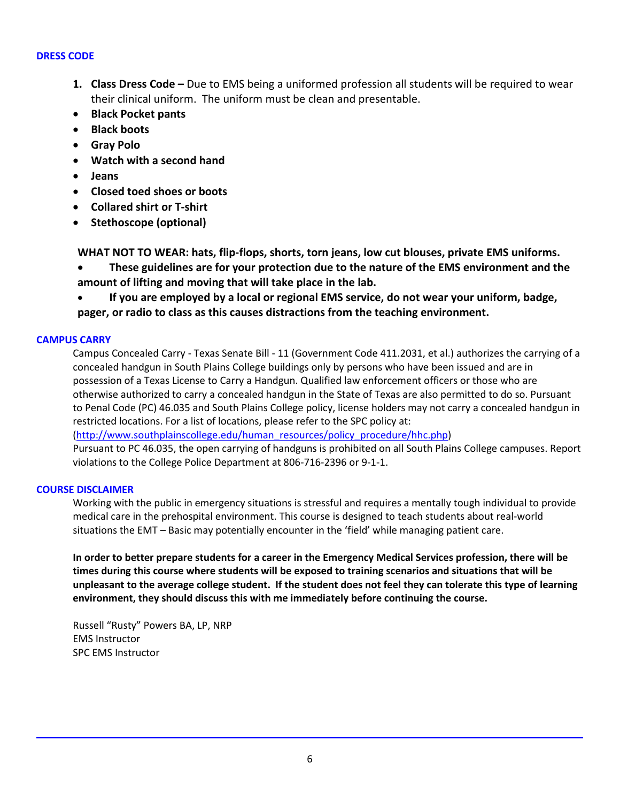## **DRESS CODE**

- **1. Class Dress Code –** Due to EMS being a uniformed profession all students will be required to wear their clinical uniform. The uniform must be clean and presentable.
- **Black Pocket pants**
- **Black boots**
- **Gray Polo**
- **Watch with a second hand**
- **Jeans**
- **Closed toed shoes or boots**
- **Collared shirt or T-shirt**
- **Stethoscope (optional)**

**WHAT NOT TO WEAR: hats, flip-flops, shorts, torn jeans, low cut blouses, private EMS uniforms.**

• **These guidelines are for your protection due to the nature of the EMS environment and the amount of lifting and moving that will take place in the lab.**

• **If you are employed by a local or regional EMS service, do not wear your uniform, badge, pager, or radio to class as this causes distractions from the teaching environment.**

# **CAMPUS CARRY**

Campus Concealed Carry - Texas Senate Bill - 11 (Government Code 411.2031, et al.) authorizes the carrying of a concealed handgun in South Plains College buildings only by persons who have been issued and are in possession of a Texas License to Carry a Handgun. Qualified law enforcement officers or those who are otherwise authorized to carry a concealed handgun in the State of Texas are also permitted to do so. Pursuant to Penal Code (PC) 46.035 and South Plains College policy, license holders may not carry a concealed handgun in restricted locations. For a list of locations, please refer to the SPC policy at:

[\(http://www.southplainscollege.edu/human\\_resources/policy\\_procedure/hhc.php\)](http://www.southplainscollege.edu/human_resources/policy_procedure/hhc.php)

Pursuant to PC 46.035, the open carrying of handguns is prohibited on all South Plains College campuses. Report violations to the College Police Department at 806-716-2396 or 9-1-1.

# **COURSE DISCLAIMER**

Working with the public in emergency situations is stressful and requires a mentally tough individual to provide medical care in the prehospital environment. This course is designed to teach students about real-world situations the EMT – Basic may potentially encounter in the 'field' while managing patient care.

**In order to better prepare students for a career in the Emergency Medical Services profession, there will be times during this course where students will be exposed to training scenarios and situations that will be unpleasant to the average college student. If the student does not feel they can tolerate this type of learning environment, they should discuss this with me immediately before continuing the course.**

Russell "Rusty" Powers BA, LP, NRP EMS Instructor SPC EMS Instructor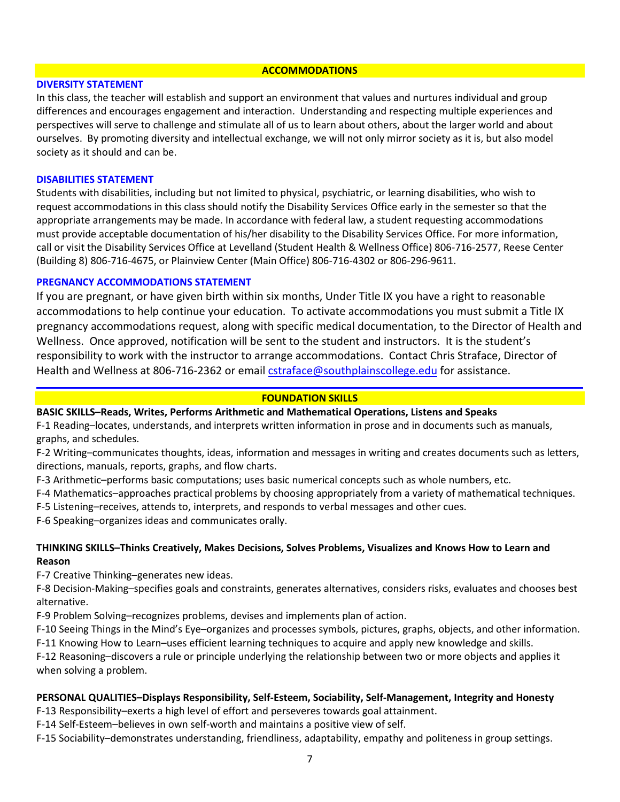#### **ACCOMMODATIONS**

## **DIVERSITY STATEMENT**

In this class, the teacher will establish and support an environment that values and nurtures individual and group differences and encourages engagement and interaction. Understanding and respecting multiple experiences and perspectives will serve to challenge and stimulate all of us to learn about others, about the larger world and about ourselves. By promoting diversity and intellectual exchange, we will not only mirror society as it is, but also model society as it should and can be.

## **DISABILITIES STATEMENT**

Students with disabilities, including but not limited to physical, psychiatric, or learning disabilities, who wish to request accommodations in this class should notify the Disability Services Office early in the semester so that the appropriate arrangements may be made. In accordance with federal law, a student requesting accommodations must provide acceptable documentation of his/her disability to the Disability Services Office. For more information, call or visit the Disability Services Office at Levelland (Student Health & Wellness Office) 806-716-2577, Reese Center (Building 8) 806-716-4675, or Plainview Center (Main Office) 806-716-4302 or 806-296-9611.

## **PREGNANCY ACCOMMODATIONS STATEMENT**

If you are pregnant, or have given birth within six months, Under Title IX you have a right to reasonable accommodations to help continue your education. To activate accommodations you must submit a Title IX pregnancy accommodations request, along with specific medical documentation, to the Director of Health and Wellness. Once approved, notification will be sent to the student and instructors. It is the student's responsibility to work with the instructor to arrange accommodations. Contact Chris Straface, Director of Health and Wellness at 806-716-2362 or email [cstraface@southplainscollege.edu](mailto:cstraface@southplainscollege.edu) for assistance.

# **FOUNDATION SKILLS**

# **BASIC SKILLS–Reads, Writes, Performs Arithmetic and Mathematical Operations, Listens and Speaks**

F-1 Reading–locates, understands, and interprets written information in prose and in documents such as manuals, graphs, and schedules.

- F-2 Writing–communicates thoughts, ideas, information and messages in writing and creates documents such as letters, directions, manuals, reports, graphs, and flow charts.
- F-3 Arithmetic–performs basic computations; uses basic numerical concepts such as whole numbers, etc.
- F-4 Mathematics–approaches practical problems by choosing appropriately from a variety of mathematical techniques.
- F-5 Listening–receives, attends to, interprets, and responds to verbal messages and other cues.

F-6 Speaking–organizes ideas and communicates orally.

# **THINKING SKILLS–Thinks Creatively, Makes Decisions, Solves Problems, Visualizes and Knows How to Learn and Reason**

F-7 Creative Thinking–generates new ideas.

F-8 Decision-Making–specifies goals and constraints, generates alternatives, considers risks, evaluates and chooses best alternative.

F-9 Problem Solving–recognizes problems, devises and implements plan of action.

F-10 Seeing Things in the Mind's Eye–organizes and processes symbols, pictures, graphs, objects, and other information.

F-11 Knowing How to Learn–uses efficient learning techniques to acquire and apply new knowledge and skills.

F-12 Reasoning–discovers a rule or principle underlying the relationship between two or more objects and applies it when solving a problem.

# **PERSONAL QUALITIES–Displays Responsibility, Self-Esteem, Sociability, Self-Management, Integrity and Honesty**

F-13 Responsibility–exerts a high level of effort and perseveres towards goal attainment.

- F-14 Self-Esteem–believes in own self-worth and maintains a positive view of self.
- F-15 Sociability–demonstrates understanding, friendliness, adaptability, empathy and politeness in group settings.